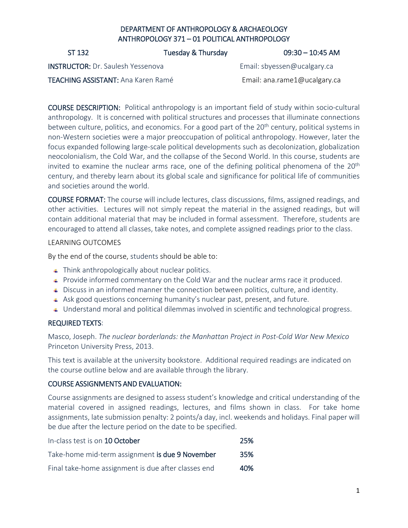## DEPARTMENT OF ANTHROPOLOGY & ARCHAEOLOGY ANTHROPOLOGY 371 – 01 POLITICAL ANTHROPOLOGY

ST 132 Tuesday & Thursday 109:30 – 10:45 AM

INSTRUCTOR: Dr. Saulesh Yessenova Email: [sbyessen@ucalgary.ca](mailto:sbyessen@ucalgary.ca)

TEACHING ASSISTANT: Ana Karen Ramé **Email: ana.rame1@ucalgary.ca** 

COURSE DESCRIPTION: Political anthropology is an important field of study within socio-cultural anthropology. It is concerned with political structures and processes that illuminate connections between culture, politics, and economics. For a good part of the 20<sup>th</sup> century, political systems in non-Western societies were a major preoccupation of political anthropology. However, later the focus expanded following large-scale political developments such as decolonization, globalization neocolonialism, the Cold War, and the collapse of the Second World. In this course, students are invited to examine the nuclear arms race, one of the defining political phenomena of the 20<sup>th</sup> century, and thereby learn about its global scale and significance for political life of communities and societies around the world.

COURSE FORMAT: The course will include lectures, class discussions, films, assigned readings, and other activities. Lectures will not simply repeat the material in the assigned readings, but will contain additional material that may be included in formal assessment. Therefore, students are encouraged to attend all classes, take notes, and complete assigned readings prior to the class.

#### LEARNING OUTCOMES

By the end of the course, students should be able to:

- **↓** Think anthropologically about nuclear politics.
- **Provide informed commentary on the Cold War and the nuclear arms race it produced.**
- Discuss in an informed manner the connection between politics, culture, and identity.
- Ask good questions concerning humanity's nuclear past, present, and future.
- Understand moral and political dilemmas involved in scientific and technological progress.

### REQUIRED TEXTS:

Masco, Joseph. *The nuclear borderlands: the Manhattan Project in Post-Cold War New Mexico* Princeton University Press, 2013.

This text is available at the university bookstore. Additional required readings are indicated on the course outline below and are available through the library.

#### COURSE ASSIGNMENTS AND EVALUATION:

Course assignments are designed to assess student's knowledge and critical understanding of the material covered in assigned readings, lectures, and films shown in class. For take home assignments, late submission penalty: 2 points/a day, incl. weekends and holidays. Final paper will be due after the lecture period on the date to be specified.

| In-class test is on 10 October                      | 25%        |
|-----------------------------------------------------|------------|
| Take-home mid-term assignment is due 9 November     | <b>35%</b> |
| Final take-home assignment is due after classes end | 40%        |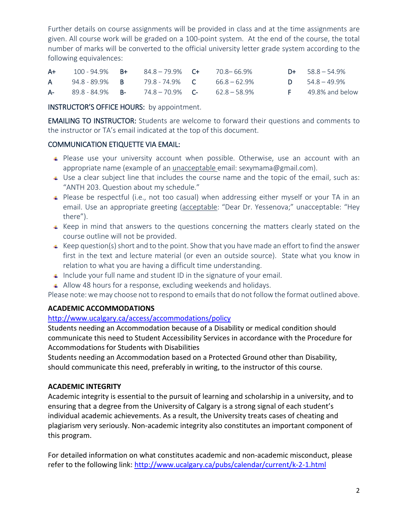Further details on course assignments will be provided in class and at the time assignments are given. All course work will be graded on a 100-point system. At the end of the course, the total number of marks will be converted to the official university letter grade system according to the following equivalences:

| A+ | 100 - 94.9%            | - B+ | 84.8-79.9% <b>C+</b>            | 70.8–66.9%   | $D+ 58.8 - 54.9%$      |
|----|------------------------|------|---------------------------------|--------------|------------------------|
| A. | 94.8 - 89.9% B         |      | 79.8 - 74.9% C                  | 66.8 – 62.9% | $D = 54.8 - 49.9\%$    |
|    | $A - 89.8 - 84.9\%$ B- |      | $74.8 - 70.9\%$ C- 62.8 - 58.9% |              | $F = 49.8\%$ and below |

INSTRUCTOR'S OFFICE HOURS: by appointment.

EMAILING TO INSTRUCTOR: Students are welcome to forward their questions and comments to the instructor or TA's email indicated at the top of this document.

### COMMUNICATION ETIQUETTE VIA EMAIL:

- Please use your university account when possible. Otherwise, use an account with an appropriate name (example of an unacceptable email: [sexymama@gmail.com\)](mailto:sexymama@gmail.com).
- Use a clear subject line that includes the course name and the topic of the email, such as: "ANTH 203. Question about my schedule."
- Please be respectful (i.e., not too casual) when addressing either myself or your TA in an email. Use an appropriate greeting (acceptable: "Dear Dr. Yessenova;" unacceptable: "Hey there").
- $\overline{\phantom{a}}$  Keep in mind that answers to the questions concerning the matters clearly stated on the course outline will not be provided.
- $\uparrow$  Keep question(s) short and to the point. Show that you have made an effort to find the answer first in the text and lecture material (or even an outside source). State what you know in relation to what you are having a difficult time understanding.
- $\uparrow$  Include your full name and student ID in the signature of your email.
- Allow 48 hours for a response, excluding weekends and holidays.

Please note: we may choose not to respond to emails that do not follow the format outlined above.

### **ACADEMIC ACCOMMODATIONS**

### <http://www.ucalgary.ca/access/accommodations/policy>

Students needing an Accommodation because of a Disability or medical condition should communicate this need to Student Accessibility Services in accordance with the Procedure for Accommodations for Students with Disabilities

Students needing an Accommodation based on a Protected Ground other than Disability, should communicate this need, preferably in writing, to the instructor of this course.

### **ACADEMIC INTEGRITY**

Academic integrity is essential to the pursuit of learning and scholarship in a university, and to ensuring that a degree from the University of Calgary is a strong signal of each student's individual academic achievements. As a result, the University treats cases of cheating and plagiarism very seriously. Non-academic integrity also constitutes an important component of this program.

For detailed information on what constitutes academic and non-academic misconduct, please refer to the following link:<http://www.ucalgary.ca/pubs/calendar/current/k-2-1.html>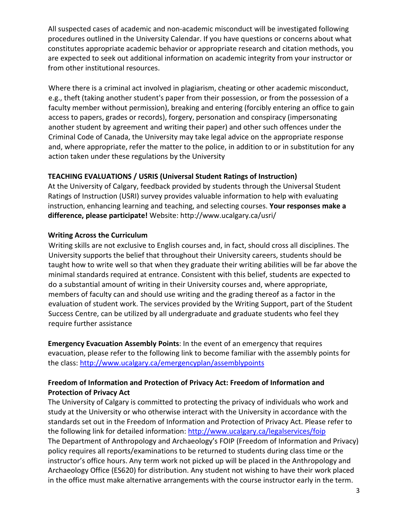All suspected cases of academic and non-academic misconduct will be investigated following procedures outlined in the University Calendar. If you have questions or concerns about what constitutes appropriate academic behavior or appropriate research and citation methods, you are expected to seek out additional information on academic integrity from your instructor or from other institutional resources.

Where there is a criminal act involved in plagiarism, cheating or other academic misconduct, e.g., theft (taking another student's paper from their possession, or from the possession of a faculty member without permission), breaking and entering (forcibly entering an office to gain access to papers, grades or records), forgery, personation and conspiracy (impersonating another student by agreement and writing their paper) and other such offences under the Criminal Code of Canada, the University may take legal advice on the appropriate response and, where appropriate, refer the matter to the police, in addition to or in substitution for any action taken under these regulations by the University

### **TEACHING EVALUATIONS / USRIS (Universal Student Ratings of Instruction)**

At the University of Calgary, feedback provided by students through the Universal Student Ratings of Instruction (USRI) survey provides valuable information to help with evaluating instruction, enhancing learning and teaching, and selecting courses. **Your responses make a difference, please participate!** Website: http://www.ucalgary.ca/usri/

### **Writing Across the Curriculum**

Writing skills are not exclusive to English courses and, in fact, should cross all disciplines. The University supports the belief that throughout their University careers, students should be taught how to write well so that when they graduate their writing abilities will be far above the minimal standards required at entrance. Consistent with this belief, students are expected to do a substantial amount of writing in their University courses and, where appropriate, members of faculty can and should use writing and the grading thereof as a factor in the evaluation of student work. The services provided by the Writing Support, part of the Student Success Centre, can be utilized by all undergraduate and graduate students who feel they require further assistance

**Emergency Evacuation Assembly Points**: In the event of an emergency that requires evacuation, please refer to the following link to become familiar with the assembly points for the class:<http://www.ucalgary.ca/emergencyplan/assemblypoints>

### **Freedom of Information and Protection of Privacy Act: Freedom of Information and Protection of Privacy Act**

The University of Calgary is committed to protecting the privacy of individuals who work and study at the University or who otherwise interact with the University in accordance with the standards set out in the Freedom of Information and Protection of Privacy Act. Please refer to the following link for detailed information:<http://www.ucalgary.ca/legalservices/foip> The Department of Anthropology and Archaeology's FOIP (Freedom of Information and Privacy) policy requires all reports/examinations to be returned to students during class time or the instructor's office hours. Any term work not picked up will be placed in the Anthropology and Archaeology Office (ES620) for distribution. Any student not wishing to have their work placed in the office must make alternative arrangements with the course instructor early in the term.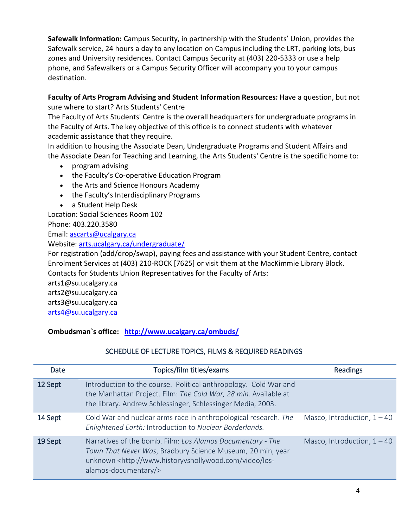**Safewalk Information:** Campus Security, in partnership with the Students' Union, provides the Safewalk service, 24 hours a day to any location on Campus including the LRT, parking lots, bus zones and University residences. Contact Campus Security at (403) 220-5333 or use a help phone, and Safewalkers or a Campus Security Officer will accompany you to your campus destination.

# **Faculty of Arts Program Advising and Student Information Resources:** Have a question, but not sure where to start? Arts Students' Centre

The Faculty of Arts Students' Centre is the overall headquarters for undergraduate programs in the Faculty of Arts. The key objective of this office is to connect students with whatever academic assistance that they require.

In addition to housing the Associate Dean, Undergraduate Programs and Student Affairs and the Associate Dean for Teaching and Learning, the Arts Students' Centre is the specific home to:

- program advising
- the Faculty's Co-operative Education Program
- the Arts and Science Honours Academy
- the Faculty's Interdisciplinary Programs
- a Student Help Desk

Location: Social Sciences Room 102

Phone: 403.220.3580

Email: [ascarts@ucalgary.ca](http://ucalgary.ca/pubs/calendar/current/ascarts@ucalgary.ca)

Website: [arts.ucalgary.ca/undergraduate/](http://arts.ucalgary.ca/undergraduate/)

For registration (add/drop/swap), paying fees and assistance with your Student Centre, contact Enrolment Services at (403) 210-ROCK [7625] or visit them at the MacKimmie Library Block. Contacts for Students Union Representatives for the Faculty of Arts:

arts1@su.ucalgary.ca

arts2@su.ucalgary.ca

arts3@su.ucalgary.ca

[arts4@su.ucalgary.ca](mailto:arts4@su.ucalgary.ca)

**Ombudsman`s office: <http://www.ucalgary.ca/ombuds/>**

# SCHEDULE OF LECTURE TOPICS, FILMS & REQUIRED READINGS

| Date    | Topics/film titles/exams                                                                                                                                                                                                     | <b>Readings</b>               |
|---------|------------------------------------------------------------------------------------------------------------------------------------------------------------------------------------------------------------------------------|-------------------------------|
| 12 Sept | Introduction to the course. Political anthropology. Cold War and<br>the Manhattan Project. Film: The Cold War, 28 min. Available at<br>the library. Andrew Schlessinger, Schlessinger Media, 2003.                           |                               |
| 14 Sept | Cold War and nuclear arms race in anthropological research. The<br>Enlightened Earth: Introduction to Nuclear Borderlands.                                                                                                   | Masco, Introduction, $1 - 40$ |
| 19 Sept | Narratives of the bomb. Film: Los Alamos Documentary - The<br>Town That Never Was, Bradbury Science Museum, 20 min, year<br>unknown <http: los-<br="" video="" www.historyvshollywood.com="">alamos-documentary/&gt;</http:> | Masco, Introduction, $1 - 40$ |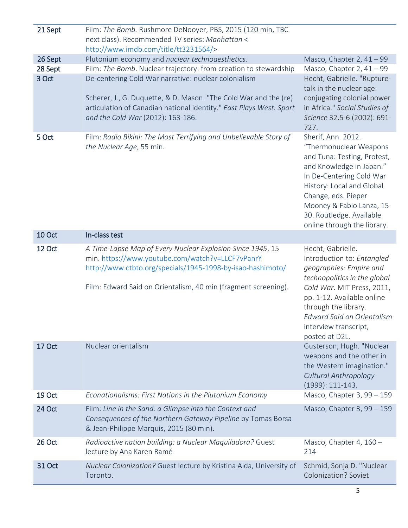| 21 Sept          | Film: The Bomb. Rushmore DeNooyer, PBS, 2015 (120 min, TBC                                                                                                                   |                                                                                                                                                                                                                                                                                 |
|------------------|------------------------------------------------------------------------------------------------------------------------------------------------------------------------------|---------------------------------------------------------------------------------------------------------------------------------------------------------------------------------------------------------------------------------------------------------------------------------|
|                  | next class). Recommended TV series: Manhattan <                                                                                                                              |                                                                                                                                                                                                                                                                                 |
|                  | http://www.imdb.com/title/tt3231564/>                                                                                                                                        |                                                                                                                                                                                                                                                                                 |
| 26 Sept          | Plutonium economy and nuclear technoaesthetics.                                                                                                                              | Masco, Chapter 2, $41 - 99$                                                                                                                                                                                                                                                     |
| 28 Sept<br>3 Oct | Film: The Bomb. Nuclear trajectory: from creation to stewardship<br>De-centering Cold War narrative: nuclear colonialism                                                     | Masco, Chapter 2, $41 - 99$<br>Hecht, Gabrielle. "Rupture-                                                                                                                                                                                                                      |
|                  | Scherer, J., G. Duquette, & D. Mason. "The Cold War and the (re)<br>articulation of Canadian national identity." East Plays West: Sport<br>and the Cold War (2012): 163-186. | talk in the nuclear age:<br>conjugating colonial power<br>in Africa." Social Studies of<br>Science 32.5-6 (2002): 691-<br>727.                                                                                                                                                  |
| 5 Oct            | Film: Radio Bikini: The Most Terrifying and Unbelievable Story of<br>the Nuclear Age, 55 min.                                                                                | Sherif, Ann. 2012.<br>"Thermonuclear Weapons<br>and Tuna: Testing, Protest,<br>and Knowledge in Japan."<br>In De-Centering Cold War<br>History: Local and Global<br>Change, eds. Pieper<br>Mooney & Fabio Lanza, 15-<br>30. Routledge. Available<br>online through the library. |
| <b>10 Oct</b>    | In-class test                                                                                                                                                                |                                                                                                                                                                                                                                                                                 |
| 12 Oct           | A Time-Lapse Map of Every Nuclear Explosion Since 1945, 15<br>min. https://www.youtube.com/watch?v=LLCF7vPanrY<br>http://www.ctbto.org/specials/1945-1998-by-isao-hashimoto/ | Hecht, Gabrielle.<br>Introduction to: Entangled<br>geographies: Empire and<br>technopolitics in the global                                                                                                                                                                      |
|                  | Film: Edward Said on Orientalism, 40 min (fragment screening).                                                                                                               | Cold War. MIT Press, 2011,<br>pp. 1-12. Available online<br>through the library.<br><b>Edward Said on Orientalism</b><br>interview transcript,<br>posted at D2L.                                                                                                                |
| 17 Oct           | Nuclear orientalism                                                                                                                                                          | Gusterson, Hugh. "Nuclear<br>weapons and the other in<br>the Western imagination."<br>Cultural Anthropology<br>(1999): 111-143.                                                                                                                                                 |
| 19 Oct           | Econationalisms: First Nations in the Plutonium Economy                                                                                                                      | Masco, Chapter 3, 99 - 159                                                                                                                                                                                                                                                      |
| 24 Oct           | Film: Line in the Sand: a Glimpse into the Context and<br>Consequences of the Northern Gateway Pipeline by Tomas Borsa<br>& Jean-Philippe Marquis, 2015 (80 min).            | Masco, Chapter 3, 99 - 159                                                                                                                                                                                                                                                      |
| 26 Oct           | Radioactive nation building: a Nuclear Maquiladora? Guest<br>lecture by Ana Karen Ramé                                                                                       | Masco, Chapter 4, 160 -<br>214                                                                                                                                                                                                                                                  |
| <b>31 Oct</b>    | Nuclear Colonization? Guest lecture by Kristina Alda, University of<br>Toronto.                                                                                              | Schmid, Sonja D. "Nuclear<br><b>Colonization? Soviet</b>                                                                                                                                                                                                                        |